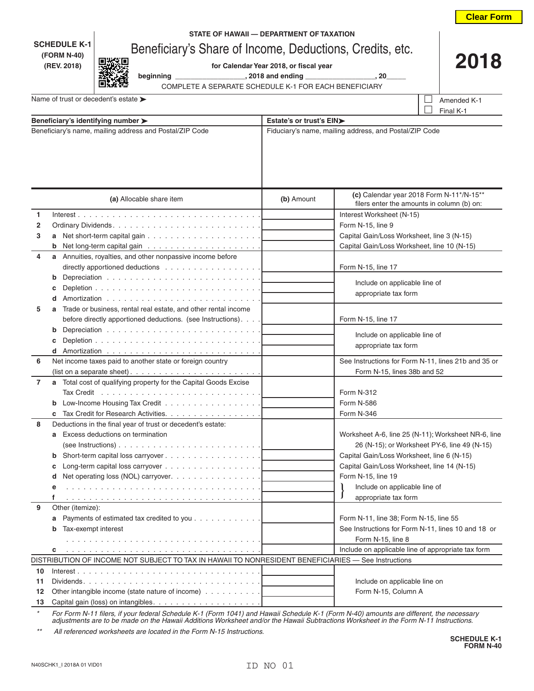|                          |                                                                                                          |                                                |                                                                        | <b>Clear Form</b>                                   |  |
|--------------------------|----------------------------------------------------------------------------------------------------------|------------------------------------------------|------------------------------------------------------------------------|-----------------------------------------------------|--|
|                          |                                                                                                          | STATE OF HAWAII - DEPARTMENT OF TAXATION       |                                                                        |                                                     |  |
|                          | <b>SCHEDULE K-1</b><br>Beneficiary's Share of Income, Deductions, Credits, etc.                          |                                                |                                                                        |                                                     |  |
|                          | (FORM N-40)<br>(REV. 2018)                                                                               | 2018<br>for Calendar Year 2018, or fiscal year |                                                                        |                                                     |  |
|                          |                                                                                                          |                                                | beginning ___________________, 2018 and ending __________________, 20_ |                                                     |  |
|                          | COMPLETE A SEPARATE SCHEDULE K-1 FOR EACH BENEFICIARY                                                    |                                                |                                                                        |                                                     |  |
|                          | Name of trust or decedent's estate >                                                                     |                                                |                                                                        | Amended K-1                                         |  |
|                          |                                                                                                          |                                                |                                                                        | Final K-1                                           |  |
|                          | Beneficiary's identifying number >                                                                       | Estate's or trust's EIN>                       |                                                                        |                                                     |  |
|                          | Beneficiary's name, mailing address and Postal/ZIP Code                                                  |                                                | Fiduciary's name, mailing address, and Postal/ZIP Code                 |                                                     |  |
|                          |                                                                                                          |                                                |                                                                        | (c) Calendar year 2018 Form N-11*/N-15**            |  |
| (a) Allocable share item |                                                                                                          | (b) Amount                                     | filers enter the amounts in column (b) on:                             |                                                     |  |
| 1                        |                                                                                                          |                                                | Interest Worksheet (N-15)                                              |                                                     |  |
| 2                        |                                                                                                          | Form N-15, line 9                              |                                                                        |                                                     |  |
| 3                        |                                                                                                          |                                                | Capital Gain/Loss Worksheet, line 3 (N-15)                             |                                                     |  |
|                          |                                                                                                          |                                                |                                                                        | Capital Gain/Loss Worksheet, line 10 (N-15)         |  |
| 4                        | a Annuities, royalties, and other nonpassive income before                                               |                                                |                                                                        |                                                     |  |
|                          |                                                                                                          |                                                | Form N-15, line 17                                                     |                                                     |  |
|                          | b                                                                                                        |                                                | Include on applicable line of                                          |                                                     |  |
|                          | d                                                                                                        |                                                | appropriate tax form                                                   |                                                     |  |
| 5                        | Trade or business, rental real estate, and other rental income                                           |                                                |                                                                        |                                                     |  |
|                          | before directly apportioned deductions. (see Instructions).                                              |                                                | Form N-15, line 17                                                     |                                                     |  |
|                          | b                                                                                                        |                                                |                                                                        |                                                     |  |
|                          |                                                                                                          |                                                | Include on applicable line of                                          |                                                     |  |
|                          |                                                                                                          |                                                | appropriate tax form                                                   |                                                     |  |
| 6                        | Net income taxes paid to another state or foreign country                                                |                                                | See Instructions for Form N-11, lines 21b and 35 or                    |                                                     |  |
|                          |                                                                                                          |                                                | Form N-15, lines 38b and 52                                            |                                                     |  |
| 7                        | a Total cost of qualifying property for the Capital Goods Excise                                         |                                                |                                                                        |                                                     |  |
|                          |                                                                                                          |                                                | <b>Form N-312</b>                                                      |                                                     |  |
|                          | Low-Income Housing Tax Credit                                                                            |                                                | Form N-586                                                             |                                                     |  |
| 8                        | Tax Credit for Research Activities.<br>Deductions in the final year of trust or decedent's estate:       |                                                | Form N-346                                                             |                                                     |  |
|                          | Excess deductions on termination<br>a                                                                    |                                                |                                                                        | Worksheet A-6, line 25 (N-11); Worksheet NR-6, line |  |
|                          |                                                                                                          |                                                |                                                                        | 26 (N-15); or Worksheet PY-6, line 49 (N-15)        |  |
|                          | b                                                                                                        |                                                | Capital Gain/Loss Worksheet, line 6 (N-15)                             |                                                     |  |
|                          | c                                                                                                        |                                                | Capital Gain/Loss Worksheet, line 14 (N-15)                            |                                                     |  |
|                          | Net operating loss (NOL) carryover.<br>d                                                                 |                                                | Form N-15, line 19                                                     |                                                     |  |
|                          | е                                                                                                        |                                                | Include on applicable line of                                          |                                                     |  |
|                          | f                                                                                                        |                                                | J<br>appropriate tax form                                              |                                                     |  |
| 9                        | Other (itemize):                                                                                         |                                                |                                                                        |                                                     |  |
|                          | Payments of estimated tax credited to you<br>а                                                           |                                                | Form N-11, line 38; Form N-15, line 55                                 |                                                     |  |
|                          | Tax-exempt interest                                                                                      |                                                |                                                                        | See Instructions for Form N-11, lines 10 and 18 or  |  |
|                          |                                                                                                          |                                                | Form N-15, line 8                                                      |                                                     |  |
|                          | c<br>DISTRIBUTION OF INCOME NOT SUBJECT TO TAX IN HAWAII TO NONRESIDENT BENEFICIARIES - See Instructions |                                                |                                                                        | Include on applicable line of appropriate tax form  |  |
| 10                       |                                                                                                          |                                                |                                                                        |                                                     |  |
| 11                       | $Dividends.$                                                                                             |                                                | Include on applicable line on                                          |                                                     |  |
| 12                       | Other intangible income (state nature of income)                                                         |                                                | Form N-15, Column A                                                    |                                                     |  |
| 13                       |                                                                                                          |                                                |                                                                        |                                                     |  |

*\* For Form N-11 filers, if your federal Schedule K-1 (Form 1041) and Hawaii Schedule K-1 (Form N-40) amounts are different, the necessary adjustments are to be made on the Hawaii Additions Worksheet and/or the Hawaii Subtractions Worksheet in the Form N-11 Instructions.*

*\*\* All referenced worksheets are located in the Form N-15 Instructions.*